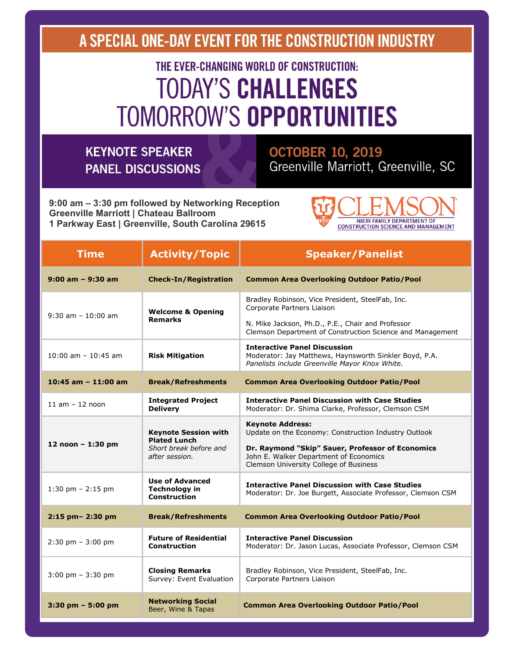A SPECIAL ONE-DAY EVENT FOR THE CONSTRUCTION INDUSTRY

# THE EVER-CHANGING WORLD OF CONSTRUCTION: **TODAY'S CHALLENGES TOMORROW'S OPPORTUNITIES**

### **KEYNOTE SPEAKER PANEL DISCUSSIONS**

### **OCTOBER 10, 2019** Greenville Marriott, Greenville, SC

9:00 am - 3:30 pm followed by Networking Reception **Greenville Marriott | Chateau Ballroom** 1 Parkway East | Greenville, South Carolina 29615



| <b>Time</b>                         | <b>Activity/Topic</b>                                                                          | <b>Speaker/Panelist</b>                                                                                                                                                                                                 |
|-------------------------------------|------------------------------------------------------------------------------------------------|-------------------------------------------------------------------------------------------------------------------------------------------------------------------------------------------------------------------------|
| $9:00$ am - $9:30$ am               | <b>Check-In/Registration</b>                                                                   | <b>Common Area Overlooking Outdoor Patio/Pool</b>                                                                                                                                                                       |
| $9:30$ am $-10:00$ am               | <b>Welcome &amp; Opening</b><br><b>Remarks</b>                                                 | Bradley Robinson, Vice President, SteelFab, Inc.<br>Corporate Partners Liaison<br>N. Mike Jackson, Ph.D., P.E., Chair and Professor<br>Clemson Department of Construction Science and Management                        |
| $10:00$ am $- 10:45$ am             | <b>Risk Mitigation</b>                                                                         | <b>Interactive Panel Discussion</b><br>Moderator: Jay Matthews, Haynsworth Sinkler Boyd, P.A.<br>Panelists include Greenville Mayor Knox White.                                                                         |
| $10:45$ am $-11:00$ am              | <b>Break/Refreshments</b>                                                                      | <b>Common Area Overlooking Outdoor Patio/Pool</b>                                                                                                                                                                       |
| $11$ am $-12$ noon                  | <b>Integrated Project</b><br><b>Delivery</b>                                                   | <b>Interactive Panel Discussion with Case Studies</b><br>Moderator: Dr. Shima Clarke, Professor, Clemson CSM                                                                                                            |
| 12 noon $-1:30$ pm                  | <b>Keynote Session with</b><br><b>Plated Lunch</b><br>Short break before and<br>after session. | <b>Keynote Address:</b><br>Update on the Economy: Construction Industry Outlook<br>Dr. Raymond "Skip" Sauer, Professor of Economics<br>John E. Walker Department of Economics<br>Clemson University College of Business |
| 1:30 pm $- 2:15$ pm                 | <b>Use of Advanced</b><br><b>Technology in</b><br><b>Construction</b>                          | <b>Interactive Panel Discussion with Case Studies</b><br>Moderator: Dr. Joe Burgett, Associate Professor, Clemson CSM                                                                                                   |
| 2:15 pm- 2:30 pm                    | <b>Break/Refreshments</b>                                                                      | <b>Common Area Overlooking Outdoor Patio/Pool</b>                                                                                                                                                                       |
| $2:30$ pm $-3:00$ pm                | <b>Future of Residential</b><br><b>Construction</b>                                            | <b>Interactive Panel Discussion</b><br>Moderator: Dr. Jason Lucas, Associate Professor, Clemson CSM                                                                                                                     |
| $3:00 \text{ pm} - 3:30 \text{ pm}$ | <b>Closing Remarks</b><br>Survey: Event Evaluation                                             | Bradley Robinson, Vice President, SteelFab, Inc.<br>Corporate Partners Liaison                                                                                                                                          |
| $3:30$ pm $-5:00$ pm                | <b>Networking Social</b><br>Beer, Wine & Tapas                                                 | <b>Common Area Overlooking Outdoor Patio/Pool</b>                                                                                                                                                                       |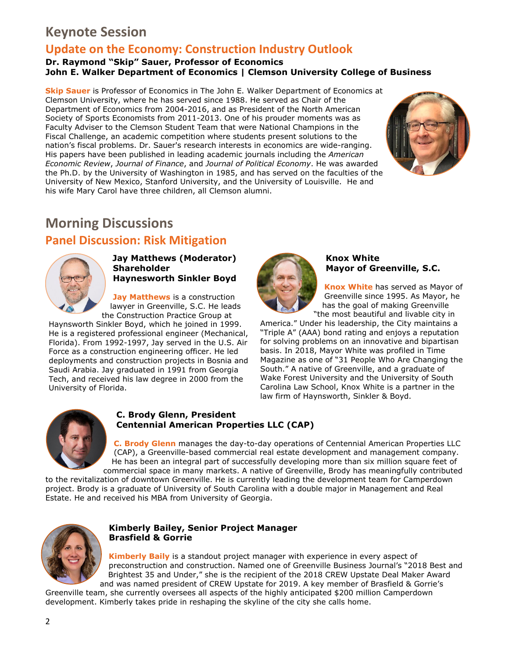### **Keynote Session**

### **Update on the Economy: Construction Industry Outlook**

#### **Dr. Raymond "Skip" Sauer, Professor of Economics John E. Walker Department of Economics | Clemson University College of Business**

**Skip Sauer** is Professor of Economics in The John E. Walker Department of Economics at Clemson University, where he has served since 1988. He served as Chair of the Department of Economics from 2004-2016, and as President of the North American Society of Sports Economists from 2011-2013. One of his prouder moments was as Faculty Adviser to the Clemson Student Team that were National Champions in the Fiscal Challenge, an academic competition where students present solutions to the nation's fiscal problems. Dr. Sauer's research interests in economics are wide-ranging. His papers have been published in leading academic journals including the *American Economic Review*, *Journal of Finance*, and *Journal of Political Economy*. He was awarded the Ph.D. by the University of Washington in 1985, and has served on the faculties of the University of New Mexico, Stanford University, and the University of Louisville. He and his wife Mary Carol have three children, all Clemson alumni.



### **Morning Discussions**

### **Panel Discussion: Risk Mitigation**



**Jay Matthews (Moderator) Shareholder Haynesworth Sinkler Boyd** 

**Jay Matthews** is a construction lawyer in Greenville, S.C. He leads the Construction Practice Group at

Haynsworth Sinkler Boyd, which he joined in 1999. He is a registered professional engineer (Mechanical, Florida). From 1992-1997, Jay served in the U.S. Air Force as a construction engineering officer. He led deployments and construction projects in Bosnia and Saudi Arabia. Jay graduated in 1991 from Georgia Tech, and received his law degree in 2000 from the University of Florida.



#### **Knox White Mayor of Greenville, S.C.**

**Knox White** has served as Mayor of Greenville since 1995. As Mayor, he has the goal of making Greenville "the most beautiful and livable city in

America." Under his leadership, the City maintains a "Triple A" (AAA) bond rating and enjoys a reputation for solving problems on an innovative and bipartisan basis. In 2018, Mayor White was profiled in Time Magazine as one of "31 People Who Are Changing the South." A native of Greenville, and a graduate of Wake Forest University and the University of South Carolina Law School, Knox White is a partner in the law firm of Haynsworth, Sinkler & Boyd.



#### **C. Brody Glenn, President Centennial American Properties LLC (CAP)**

**C. Brody Glenn** manages the day-to-day operations of Centennial American Properties LLC (CAP), a Greenville-based commercial real estate development and management company. He has been an integral part of successfully developing more than six million square feet of commercial space in many markets. A native of Greenville, Brody has meaningfully contributed

to the revitalization of downtown Greenville. He is currently leading the development team for Camperdown project. Brody is a graduate of University of South Carolina with a double major in Management and Real Estate. He and received his MBA from University of Georgia.



#### **Kimberly Bailey, Senior Project Manager Brasfield & Gorrie**

**Kimberly Baily** is a standout project manager with experience in every aspect of preconstruction and construction. Named one of Greenville Business Journal's "2018 Best and Brightest 35 and Under," she is the recipient of the 2018 CREW Upstate Deal Maker Award and was named president of CREW Upstate for 2019. A key member of Brasfield & Gorrie's

Greenville team, she currently oversees all aspects of the highly anticipated \$200 million Camperdown development. Kimberly takes pride in reshaping the skyline of the city she calls home.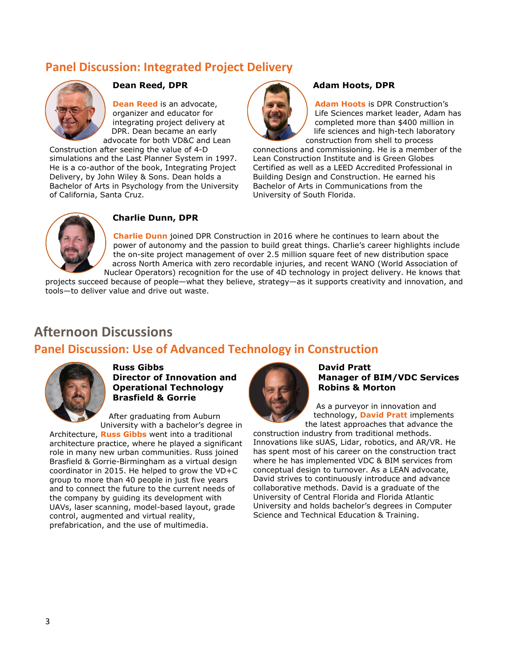### **Panel Discussion: Integrated Project Delivery**



#### **Dean Reed, DPR**

**Dean Reed** is an advocate, organizer and educator for integrating project delivery at DPR. Dean became an early advocate for both VD&C and Lean

Construction after seeing the value of 4-D simulations and the Last Planner System in 1997. He is a co-author of the book, Integrating Project Delivery, by John Wiley & Sons. Dean holds a Bachelor of Arts in Psychology from the University of California, Santa Cruz.



#### **Adam Hoots, DPR**

**Adam Hoots** is DPR Construction's Life Sciences market leader, Adam has completed more than \$400 million in life sciences and high-tech laboratory construction from shell to process

connections and commissioning. He is a member of the Lean Construction Institute and is Green Globes Certified as well as a LEED Accredited Professional in Building Design and Construction. He earned his Bachelor of Arts in Communications from the University of South Florida.



#### **Charlie Dunn, DPR**

**Charlie Dunn** joined DPR Construction in 2016 where he continues to learn about the power of autonomy and the passion to build great things. Charlie's career highlights include the on-site project management of over 2.5 million square feet of new distribution space across North America with zero recordable injuries, and recent WANO (World Association of Nuclear Operators) recognition for the use of 4D technology in project delivery. He knows that

projects succeed because of people—what they believe, strategy—as it supports creativity and innovation, and tools—to deliver value and drive out waste.

### **Afternoon Discussions**

### **Panel Discussion: Use of Advanced Technology in Construction**



**Russ Gibbs Director of Innovation and Operational Technology Brasfield & Gorrie**

After graduating from Auburn University with a bachelor's degree in

Architecture, **Russ Gibbs** went into a traditional architecture practice, where he played a significant role in many new urban communities. Russ joined Brasfield & Gorrie-Birmingham as a virtual design coordinator in 2015. He helped to grow the VD+C group to more than 40 people in just five years and to connect the future to the current needs of the company by guiding its development with UAVs, laser scanning, model-based layout, grade control, augmented and virtual reality, prefabrication, and the use of multimedia.



#### **David Pratt Manager of BIM/VDC Services Robins & Morton**

As a purveyor in innovation and technology, **David Pratt** implements the latest approaches that advance the

construction industry from traditional methods. Innovations like sUAS, Lidar, robotics, and AR/VR. He has spent most of his career on the construction tract where he has implemented VDC & BIM services from conceptual design to turnover. As a LEAN advocate, David strives to continuously introduce and advance collaborative methods. David is a graduate of the University of Central Florida and Florida Atlantic University and holds bachelor's degrees in Computer Science and Technical Education & Training.